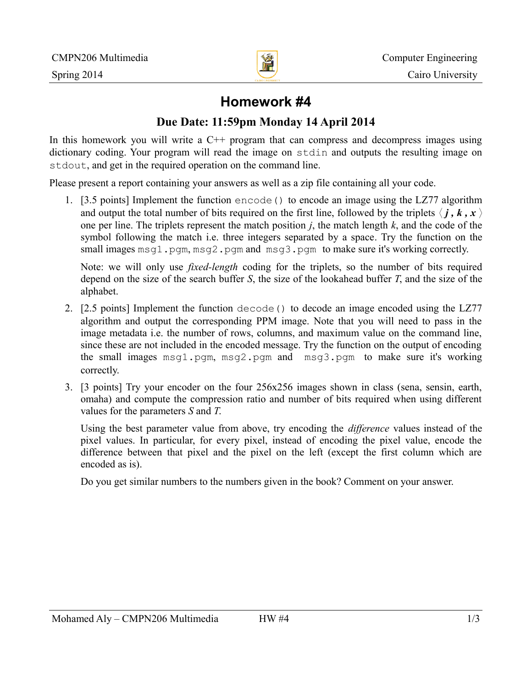

# **Homework #4**

## **Due Date: 11:59pm Monday 14 April 2014**

In this homework you will write a  $C^{++}$  program that can compress and decompress images using dictionary coding. Your program will read the image on stdin and outputs the resulting image on stdout, and get in the required operation on the command line.

Please present a report containing your answers as well as a zip file containing all your code.

1. [3.5 points] Implement the function encode() to encode an image using the LZ77 algorithm and output the total number of bits required on the first line, followed by the triplets  $\langle j, k, x \rangle$ one per line. The triplets represent the match position *j*, the match length *k*, and the code of the symbol following the match i.e. three integers separated by a space. Try the function on the small images msg1.pgm, msg2.pgm and msg3.pgm to make sure it's working correctly.

Note: we will only use *fixed-length* coding for the triplets, so the number of bits required depend on the size of the search buffer *S*, the size of the lookahead buffer *T*, and the size of the alphabet.

- 2. [2.5 points] Implement the function decode() to decode an image encoded using the LZ77 algorithm and output the corresponding PPM image. Note that you will need to pass in the image metadata i.e. the number of rows, columns, and maximum value on the command line, since these are not included in the encoded message. Try the function on the output of encoding the small images msg1.pgm, msg2.pgm and msg3.pgm to make sure it's working correctly.
- 3. [3 points] Try your encoder on the four 256x256 images shown in class (sena, sensin, earth, omaha) and compute the compression ratio and number of bits required when using different values for the parameters *S* and *T*.

Using the best parameter value from above, try encoding the *difference* values instead of the pixel values. In particular, for every pixel, instead of encoding the pixel value, encode the difference between that pixel and the pixel on the left (except the first column which are encoded as is).

Do you get similar numbers to the numbers given in the book? Comment on your answer.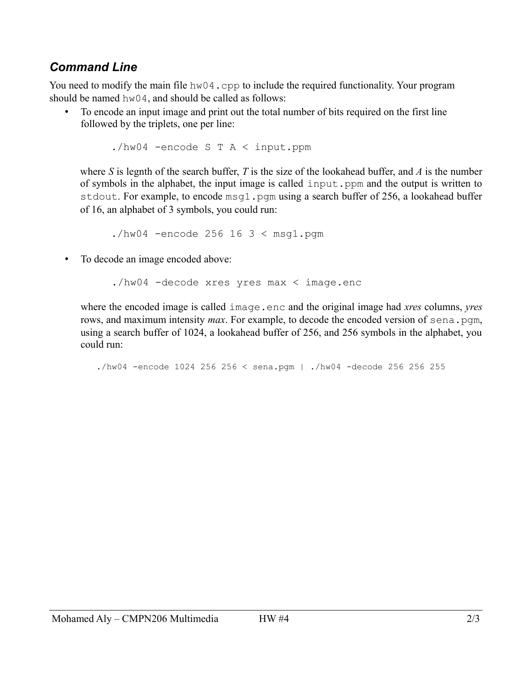# *Command Line*

You need to modify the main file hw04.cpp to include the required functionality. Your program should be named hw04, and should be called as follows:

• To encode an input image and print out the total number of bits required on the first line followed by the triplets, one per line:

./hw04 -encode S T A < input.ppm

where *S* is legnth of the search buffer, *T* is the size of the lookahead buffer, and *A* is the number of symbols in the alphabet, the input image is called input.ppm and the output is written to stdout. For example, to encode msq1, pqm using a search buffer of 256, a lookahead buffer of 16, an alphabet of 3 symbols, you could run:

 $./hw04$  -encode 256 16 3 < msq1.pqm

• To decode an image encoded above:

./hw04 -decode xres yres max < image.enc

where the encoded image is called image.enc and the original image had *xres* columns, *yres* rows, and maximum intensity *max*. For example, to decode the encoded version of sena.pqm, using a search buffer of 1024, a lookahead buffer of 256, and 256 symbols in the alphabet, you could run:

./hw04 -encode 1024 256 256 < sena.pgm | ./hw04 -decode 256 256 255